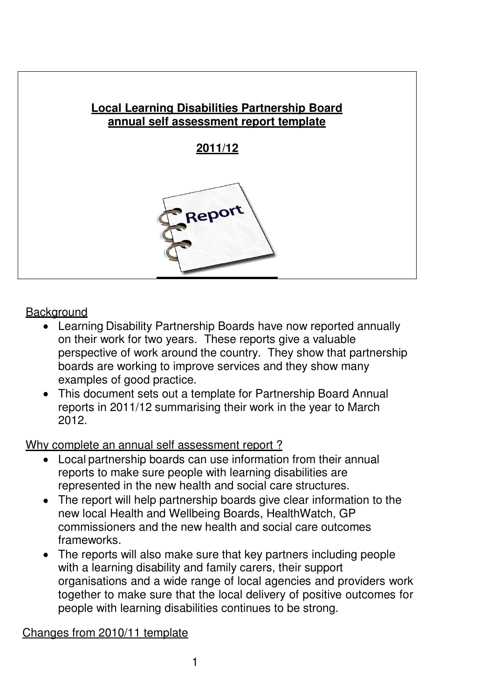

## **Background**

- Learning Disability Partnership Boards have now reported annually on their work for two years. These reports give a valuable perspective of work around the country. They show that partnership boards are working to improve services and they show many examples of good practice.
- This document sets out a template for Partnership Board Annual reports in 2011/12 summarising their work in the year to March 2012.

Why complete an annual self assessment report?

- Local partnership boards can use information from their annual reports to make sure people with learning disabilities are represented in the new health and social care structures.
- The report will help partnership boards give clear information to the new local Health and Wellbeing Boards, HealthWatch, GP commissioners and the new health and social care outcomes frameworks.
- The reports will also make sure that key partners including people with a learning disability and family carers, their support organisations and a wide range of local agencies and providers work together to make sure that the local delivery of positive outcomes for people with learning disabilities continues to be strong.

Changes from 2010/11 template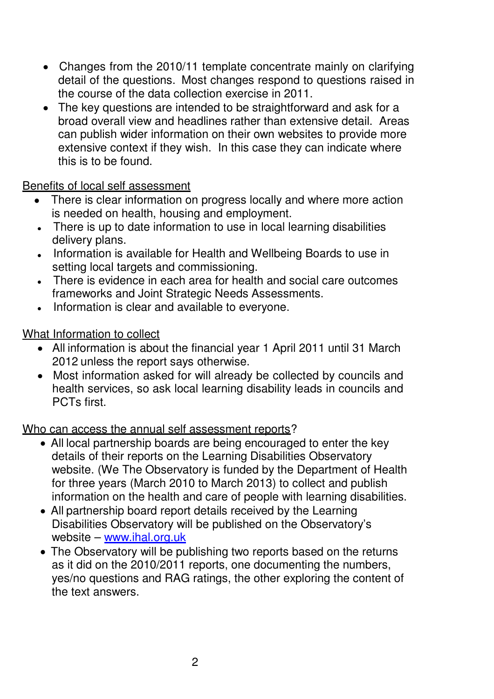- Changes from the 2010/11 template concentrate mainly on clarifying detail of the questions. Most changes respond to questions raised in the course of the data collection exercise in 2011.
- The key questions are intended to be straightforward and ask for a broad overall view and headlines rather than extensive detail. Areas can publish wider information on their own websites to provide more extensive context if they wish. In this case they can indicate where this is to be found.

## Benefits of local self assessment

- There is clear information on progress locally and where more action is needed on health, housing and employment.
- There is up to date information to use in local learning disabilities delivery plans.
- Information is available for Health and Wellbeing Boards to use in setting local targets and commissioning.
- There is evidence in each area for health and social care outcomes frameworks and Joint Strategic Needs Assessments.
- Information is clear and available to everyone.

# What Information to collect

- All information is about the financial year 1 April 2011 until 31 March 2012 unless the report says otherwise.
- Most information asked for will already be collected by councils and health services, so ask local learning disability leads in councils and PCTs first.

## Who can access the annual self assessment reports?

- All local partnership boards are being encouraged to enter the key details of their reports on the Learning Disabilities Observatory website. (We The Observatory is funded by the Department of Health for three years (March 2010 to March 2013) to collect and publish information on the health and care of people with learning disabilities.
- All partnership board report details received by the Learning Disabilities Observatory will be published on the Observatory's website – www.ihal.org.uk
- The Observatory will be publishing two reports based on the returns as it did on the 2010/2011 reports, one documenting the numbers, yes/no questions and RAG ratings, the other exploring the content of the text answers.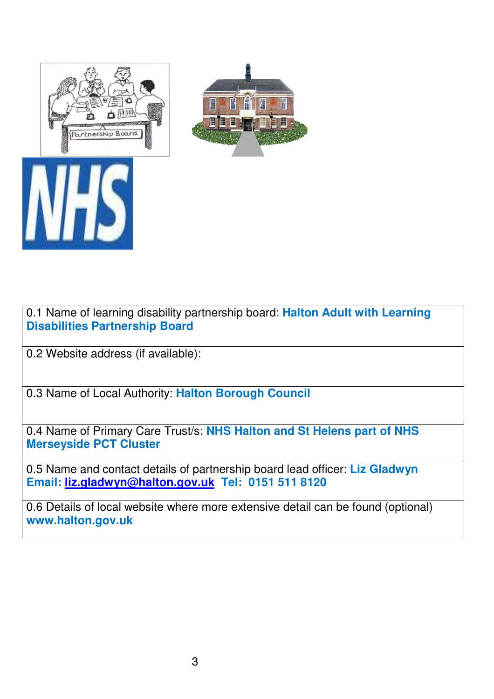![](_page_2_Picture_0.jpeg)

![](_page_2_Picture_1.jpeg)

0.1 Name of learning disability partnership board: **Halton Adult with Learning Disabilities Partnership Board**

0.2 Website address (if available):

0.3 Name of Local Authority: **Halton Borough Council**

0.4 Name of Primary Care Trust/s: **NHS Halton and St Helens part of NHS Merseyside PCT Cluster**

0.5 Name and contact details of partnership board lead officer: **Liz Gladwyn Email: liz.gladwyn@halton.gov.uk Tel: 0151 511 8120**

0.6 Details of local website where more extensive detail can be found (optional) **www.halton.gov.uk**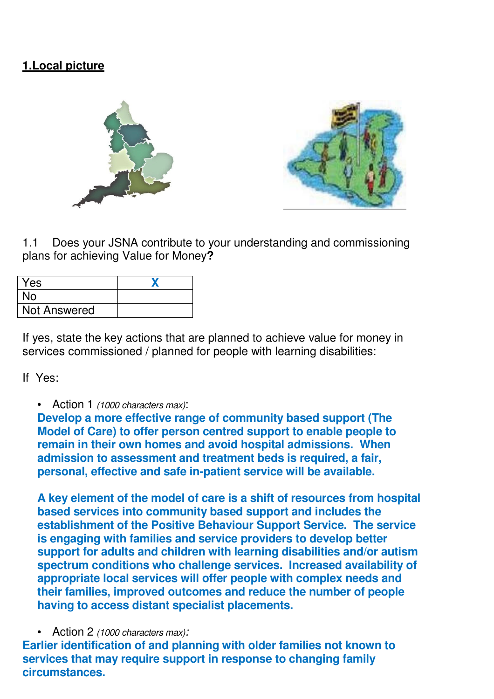# **1.Local picture**

![](_page_3_Picture_1.jpeg)

1.1 Does your JSNA contribute to your understanding and commissioning plans for achieving Value for Money**?** 

| Yes                 |  |
|---------------------|--|
| <b>No</b>           |  |
| <b>Not Answered</b> |  |

If yes, state the key actions that are planned to achieve value for money in services commissioned / planned for people with learning disabilities:

If Yes:

• Action 1 (1000 characters max):

**Develop a more effective range of community based support (The Model of Care) to offer person centred support to enable people to remain in their own homes and avoid hospital admissions. When admission to assessment and treatment beds is required, a fair, personal, effective and safe in-patient service will be available.** 

**A key element of the model of care is a shift of resources from hospital based services into community based support and includes the establishment of the Positive Behaviour Support Service. The service is engaging with families and service providers to develop better support for adults and children with learning disabilities and/or autism spectrum conditions who challenge services. Increased availability of appropriate local services will offer people with complex needs and their families, improved outcomes and reduce the number of people having to access distant specialist placements.** 

• Action 2 (1000 characters max):

**Earlier identification of and planning with older families not known to services that may require support in response to changing family circumstances.**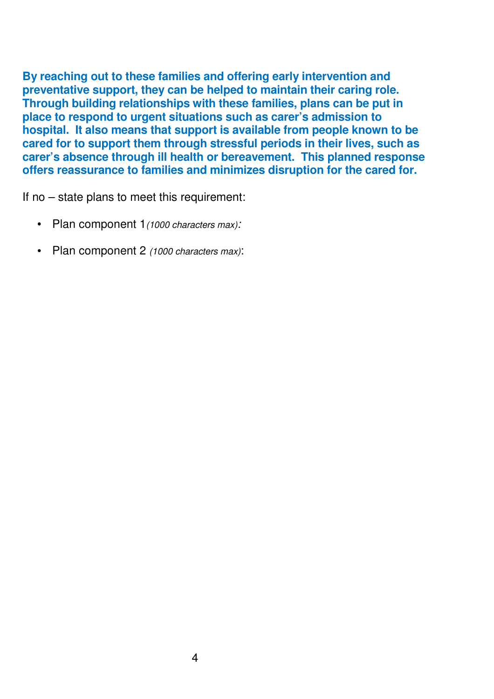**By reaching out to these families and offering early intervention and preventative support, they can be helped to maintain their caring role. Through building relationships with these families, plans can be put in place to respond to urgent situations such as carer's admission to hospital. It also means that support is available from people known to be cared for to support them through stressful periods in their lives, such as carer's absence through ill health or bereavement. This planned response offers reassurance to families and minimizes disruption for the cared for.** 

If no – state plans to meet this requirement:

- Plan component 1(1000 characters max):
- Plan component 2 (1000 characters max):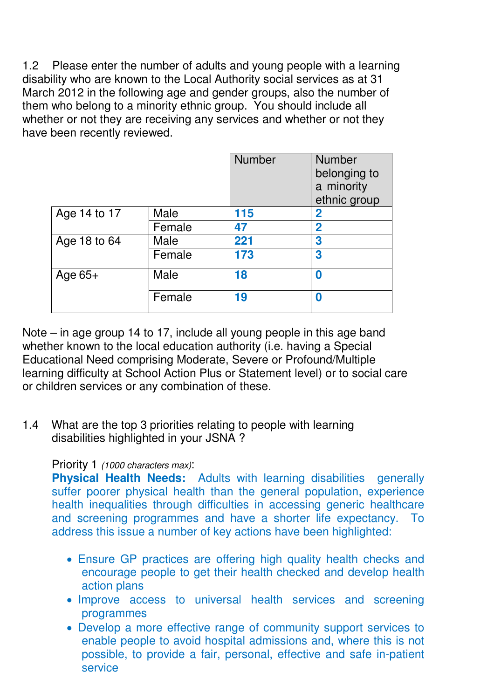1.2 Please enter the number of adults and young people with a learning disability who are known to the Local Authority social services as at 31 March 2012 in the following age and gender groups, also the number of them who belong to a minority ethnic group. You should include all whether or not they are receiving any services and whether or not they have been recently reviewed.

|              |        | <b>Number</b> | <b>Number</b><br>belonging to<br>a minority<br>ethnic group |
|--------------|--------|---------------|-------------------------------------------------------------|
| Age 14 to 17 | Male   | 115           | 2                                                           |
|              | Female | 47            | $\overline{2}$                                              |
| Age 18 to 64 | Male   | 221           | 3                                                           |
|              | Female | 173           | 3                                                           |
| Age $65+$    | Male   | 18            | 0                                                           |
|              | Female | 19            | 0                                                           |

Note – in age group 14 to 17, include all young people in this age band whether known to the local education authority (i.e. having a Special Educational Need comprising Moderate, Severe or Profound/Multiple learning difficulty at School Action Plus or Statement level) or to social care or children services or any combination of these.

1.4 What are the top 3 priorities relating to people with learning disabilities highlighted in your JSNA ?

#### Priority 1 (1000 characters max):

**Physical Health Needs:** Adults with learning disabilities generally suffer poorer physical health than the general population, experience health inequalities through difficulties in accessing generic healthcare and screening programmes and have a shorter life expectancy. To address this issue a number of key actions have been highlighted:

- Ensure GP practices are offering high quality health checks and encourage people to get their health checked and develop health action plans
- Improve access to universal health services and screening programmes
- Develop a more effective range of community support services to enable people to avoid hospital admissions and, where this is not possible, to provide a fair, personal, effective and safe in-patient service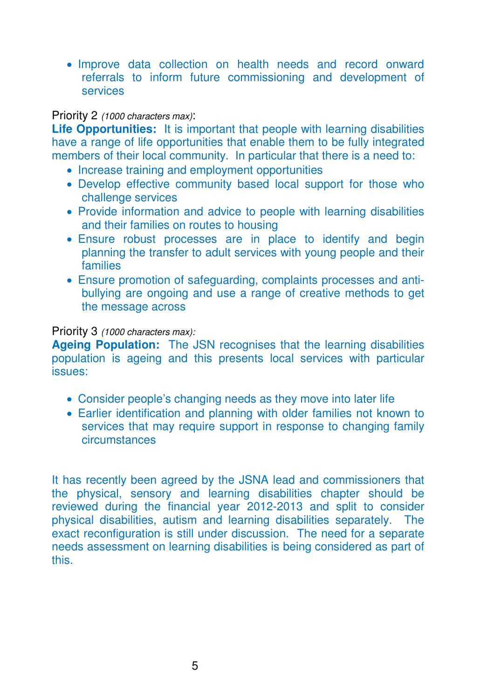• Improve data collection on health needs and record onward referrals to inform future commissioning and development of services

#### Priority 2 (1000 characters max):

**Life Opportunities:** It is important that people with learning disabilities have a range of life opportunities that enable them to be fully integrated members of their local community. In particular that there is a need to:

- Increase training and employment opportunities
- Develop effective community based local support for those who challenge services
- Provide information and advice to people with learning disabilities and their families on routes to housing
- Ensure robust processes are in place to identify and begin planning the transfer to adult services with young people and their families
- Ensure promotion of safeguarding, complaints processes and antibullying are ongoing and use a range of creative methods to get the message across

#### Priority 3 (1000 characters max):

**Ageing Population:** The JSN recognises that the learning disabilities population is ageing and this presents local services with particular issues:

- Consider people's changing needs as they move into later life
- Earlier identification and planning with older families not known to services that may require support in response to changing family circumstances

It has recently been agreed by the JSNA lead and commissioners that the physical, sensory and learning disabilities chapter should be reviewed during the financial year 2012-2013 and split to consider physical disabilities, autism and learning disabilities separately. The exact reconfiguration is still under discussion. The need for a separate needs assessment on learning disabilities is being considered as part of this.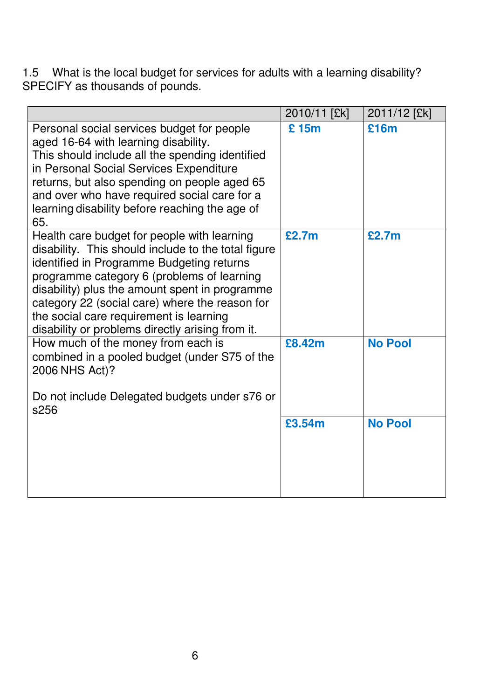1.5 What is the local budget for services for adults with a learning disability? SPECIFY as thousands of pounds.

|                                                                                                                                                                                                                                                                                                                                                                                                  | 2010/11 [£k] | 2011/12 [£k]   |
|--------------------------------------------------------------------------------------------------------------------------------------------------------------------------------------------------------------------------------------------------------------------------------------------------------------------------------------------------------------------------------------------------|--------------|----------------|
| Personal social services budget for people<br>aged 16-64 with learning disability.<br>This should include all the spending identified<br>in Personal Social Services Expenditure<br>returns, but also spending on people aged 65<br>and over who have required social care for a<br>learning disability before reaching the age of<br>65.                                                        | £15m         | £16m           |
| Health care budget for people with learning<br>disability. This should include to the total figure<br>identified in Programme Budgeting returns<br>programme category 6 (problems of learning<br>disability) plus the amount spent in programme<br>category 22 (social care) where the reason for<br>the social care requirement is learning<br>disability or problems directly arising from it. | £2.7m        | £2.7m          |
| How much of the money from each is<br>combined in a pooled budget (under S75 of the<br>2006 NHS Act)?<br>Do not include Delegated budgets under s76 or<br>s256                                                                                                                                                                                                                                   | £8.42m       | <b>No Pool</b> |
|                                                                                                                                                                                                                                                                                                                                                                                                  | £3.54m       | <b>No Pool</b> |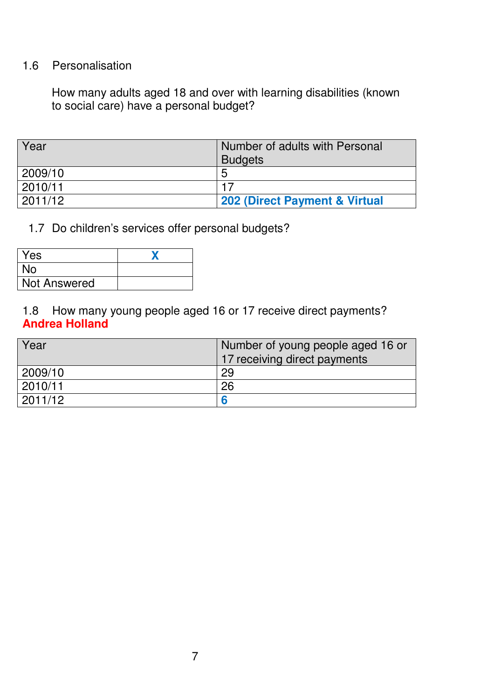## 1.6 Personalisation

How many adults aged 18 and over with learning disabilities (known to social care) have a personal budget?

| Year    | Number of adults with Personal<br><b>Budgets</b> |
|---------|--------------------------------------------------|
| 2009/10 | 5                                                |
| 2010/11 |                                                  |
| 2011/12 | 202 (Direct Payment & Virtual                    |

1.7 Do children's services offer personal budgets?

| Yes                 |  |
|---------------------|--|
| <b>No</b>           |  |
| <b>Not Answered</b> |  |

1.8 How many young people aged 16 or 17 receive direct payments? **Andrea Holland**

| Year    | Number of young people aged 16 or<br>17 receiving direct payments |
|---------|-------------------------------------------------------------------|
| 2009/10 | 29                                                                |
| 2010/11 | 26                                                                |
| 2011/12 | 6                                                                 |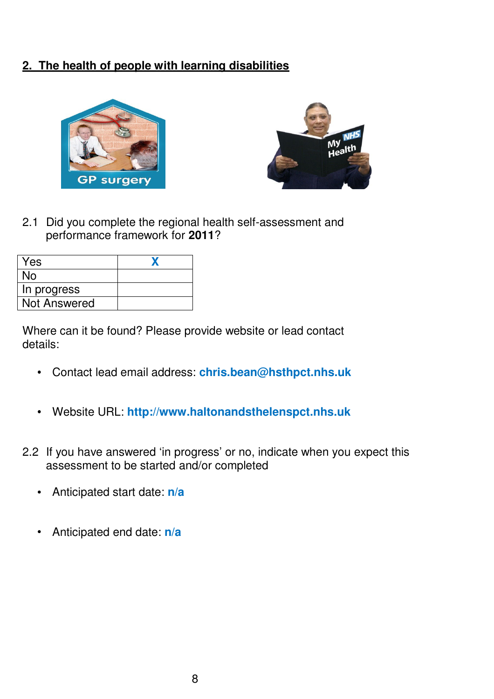## **2. The health of people with learning disabilities**

![](_page_9_Picture_1.jpeg)

![](_page_9_Picture_2.jpeg)

2.1 Did you complete the regional health self-assessment and performance framework for **2011**?

| Yes                 |  |
|---------------------|--|
| No.                 |  |
| In progress         |  |
| <b>Not Answered</b> |  |

Where can it be found? Please provide website or lead contact details:

- Contact lead email address: **chris.bean@hsthpct.nhs.uk**
- Website URL: **http://www.haltonandsthelenspct.nhs.uk**  $\bullet$
- 2.2 If you have answered 'in progress' or no, indicate when you expect this assessment to be started and/or completed
	- Anticipated start date: **n/a**  $\bullet$
	- Anticipated end date: **n/a**  $\bullet$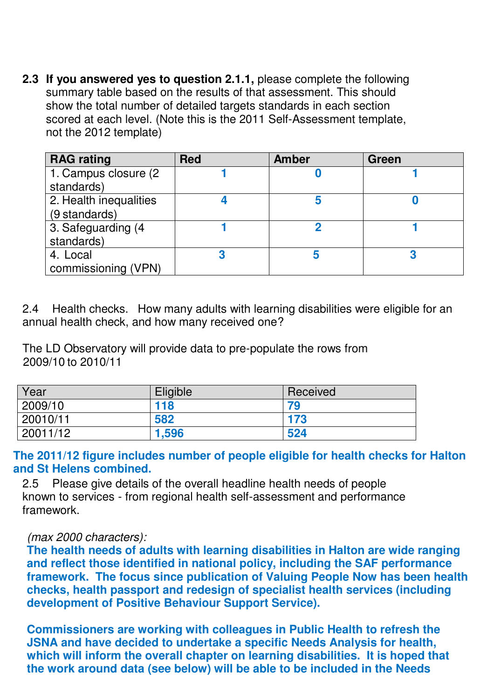**2.3 If you answered yes to question 2.1.1,** please complete the following summary table based on the results of that assessment. This should show the total number of detailed targets standards in each section scored at each level. (Note this is the 2011 Self-Assessment template, not the 2012 template)

| <b>RAG rating</b>      | <b>Red</b> | <b>Amber</b> | Green |
|------------------------|------------|--------------|-------|
| 1. Campus closure (2)  |            |              |       |
| standards)             |            |              |       |
| 2. Health inequalities |            |              |       |
| (9 standards)          |            |              |       |
| 3. Safeguarding (4     |            |              |       |
| standards)             |            |              |       |
| 4. Local               |            |              |       |
| commissioning (VPN)    |            |              |       |

2.4 Health checks. How many adults with learning disabilities were eligible for an annual health check, and how many received one?

The LD Observatory will provide data to pre-populate the rows from 2009/10 to 2010/11

| Year      | Eligible | Received |
|-----------|----------|----------|
| 2009/10   | 118      | 79       |
| 120010/11 | 582      | 173      |
| 20011/12  | 1,596    | 524      |

#### **The 2011/12 figure includes number of people eligible for health checks for Halton and St Helens combined.**

2.5 Please give details of the overall headline health needs of people known to services - from regional health self-assessment and performance framework.

#### (max 2000 characters):

**The health needs of adults with learning disabilities in Halton are wide ranging and reflect those identified in national policy, including the SAF performance framework. The focus since publication of Valuing People Now has been health checks, health passport and redesign of specialist health services (including development of Positive Behaviour Support Service).**

**Commissioners are working with colleagues in Public Health to refresh the JSNA and have decided to undertake a specific Needs Analysis for health, which will inform the overall chapter on learning disabilities. It is hoped that the work around data (see below) will be able to be included in the Needs**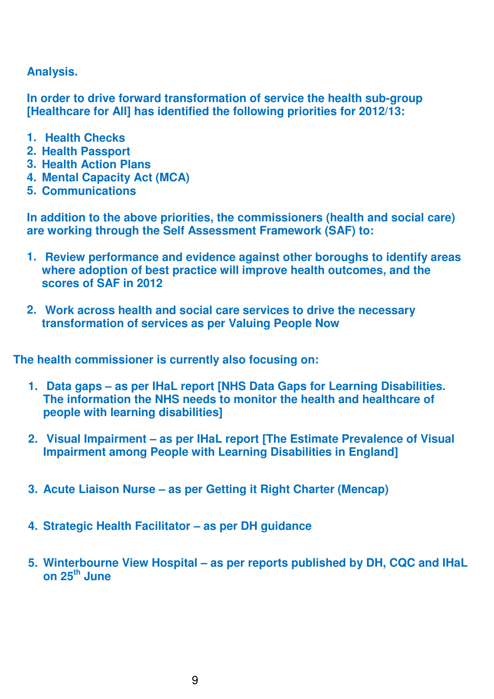#### **Analysis.**

**In order to drive forward transformation of service the health sub-group [Healthcare for All] has identified the following priorities for 2012/13:** 

- **1. Health Checks**
- **2. Health Passport**
- **3. Health Action Plans**
- **4. Mental Capacity Act (MCA)**
- **5. Communications**

**In addition to the above priorities, the commissioners (health and social care) are working through the Self Assessment Framework (SAF) to:** 

- **1. Review performance and evidence against other boroughs to identify areas where adoption of best practice will improve health outcomes, and the scores of SAF in 2012**
- **2. Work across health and social care services to drive the necessary transformation of services as per Valuing People Now**

**The health commissioner is currently also focusing on:** 

- **1. Data gaps as per IHaL report [NHS Data Gaps for Learning Disabilities. The information the NHS needs to monitor the health and healthcare of people with learning disabilities]**
- **2. Visual Impairment as per IHaL report [The Estimate Prevalence of Visual Impairment among People with Learning Disabilities in England]**
- **3. Acute Liaison Nurse as per Getting it Right Charter (Mencap)**
- **4. Strategic Health Facilitator as per DH guidance**
- **5. Winterbourne View Hospital as per reports published by DH, CQC and IHaL on 25th June**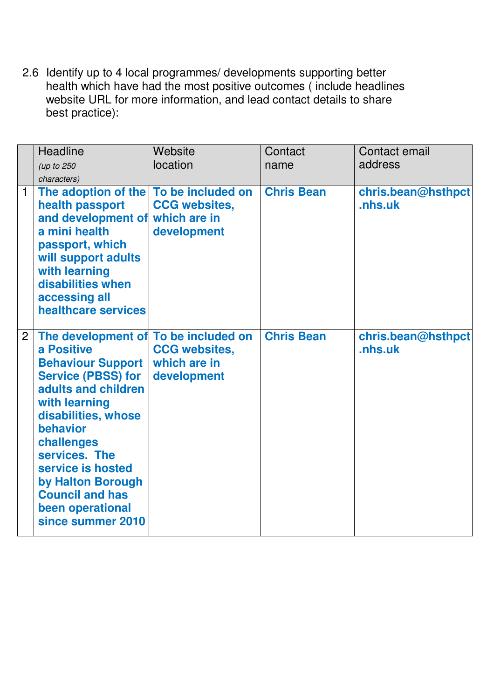2.6 Identify up to 4 local programmes/ developments supporting better health which have had the most positive outcomes ( include headlines website URL for more information, and lead contact details to share best practice):

|                | Headline<br>(up to 250<br>characters)                                                                                                                                                                                                                                                                                              | Website<br>location                                 | Contact<br>name   | Contact email<br>address      |
|----------------|------------------------------------------------------------------------------------------------------------------------------------------------------------------------------------------------------------------------------------------------------------------------------------------------------------------------------------|-----------------------------------------------------|-------------------|-------------------------------|
| $\mathbf{1}$   | The adoption of the To be included on<br>health passport<br>and development of which are in<br>a mini health<br>passport, which<br>will support adults<br>with learning<br>disabilities when<br>accessing all<br>healthcare services                                                                                               | <b>CCG websites,</b><br>development                 | <b>Chris Bean</b> | chris.bean@hsthpct<br>.nhs.uk |
| $\overline{2}$ | The development of To be included on<br>a Positive<br><b>Behaviour Support</b><br><b>Service (PBSS) for</b><br>adults and children<br>with learning<br>disabilities, whose<br>behavior<br>challenges<br>services. The<br>service is hosted<br>by Halton Borough<br><b>Council and has</b><br>been operational<br>since summer 2010 | <b>CCG websites,</b><br>which are in<br>development | <b>Chris Bean</b> | chris.bean@hsthpct<br>.nhs.uk |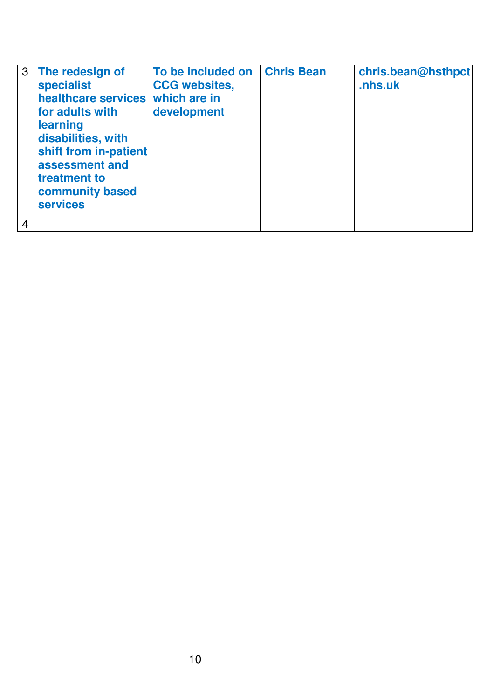| 3              | The redesign of<br><b>specialist</b><br>healthcare services which are in<br>for adults with<br>learning<br>disabilities, with<br>shift from in-patient<br>assessment and<br>treatment to<br>community based<br><b>services</b> | To be included on<br><b>CCG websites,</b><br>development | <b>Chris Bean</b> | chris.bean@hsthpct<br>.nhs.uk |
|----------------|--------------------------------------------------------------------------------------------------------------------------------------------------------------------------------------------------------------------------------|----------------------------------------------------------|-------------------|-------------------------------|
| $\overline{4}$ |                                                                                                                                                                                                                                |                                                          |                   |                               |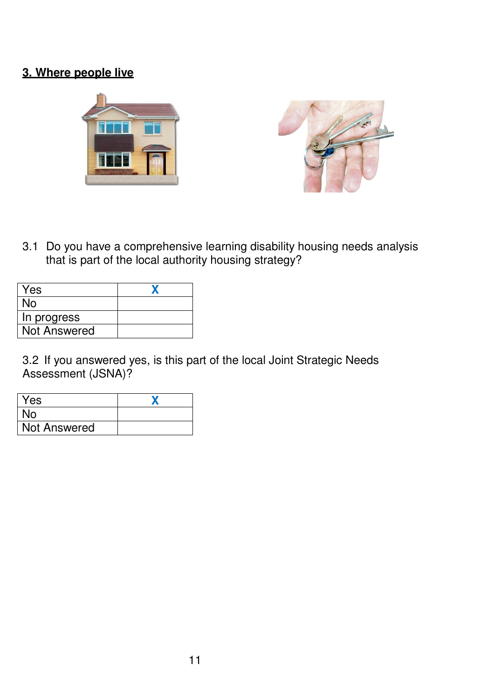# **3. Where people live**

![](_page_14_Picture_1.jpeg)

3.1 Do you have a comprehensive learning disability housing needs analysis that is part of the local authority housing strategy?

| Yes                 |  |
|---------------------|--|
| No                  |  |
| In progress         |  |
| <b>Not Answered</b> |  |

3.2 If you answered yes, is this part of the local Joint Strategic Needs Assessment (JSNA)?

| Yes                 |  |
|---------------------|--|
| No                  |  |
| <b>Not Answered</b> |  |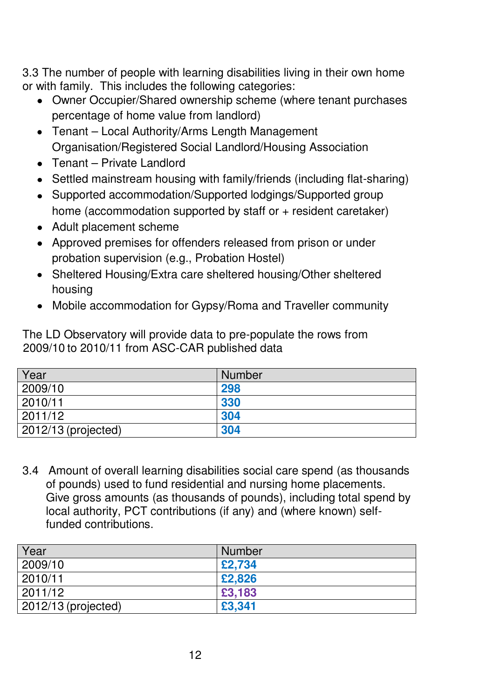3.3 The number of people with learning disabilities living in their own home or with family. This includes the following categories:

- Owner Occupier/Shared ownership scheme (where tenant purchases percentage of home value from landlord)
- Tenant Local Authority/Arms Length Management Organisation/Registered Social Landlord/Housing Association
- Tenant Private Landlord
- Settled mainstream housing with family/friends (including flat-sharing)
- Supported accommodation/Supported lodgings/Supported group home (accommodation supported by staff or + resident caretaker)
- Adult placement scheme
- Approved premises for offenders released from prison or under probation supervision (e.g., Probation Hostel)
- Sheltered Housing/Extra care sheltered housing/Other sheltered housing
- Mobile accommodation for Gypsy/Roma and Traveller community

The LD Observatory will provide data to pre-populate the rows from 2009/10 to 2010/11 from ASC-CAR published data

| Year                  | <b>Number</b> |
|-----------------------|---------------|
| 2009/10               | 298           |
| 2010/11               | 330           |
| 2011/12               | 304           |
| $2012/13$ (projected) | 304           |

3.4 Amount of overall learning disabilities social care spend (as thousands of pounds) used to fund residential and nursing home placements. Give gross amounts (as thousands of pounds), including total spend by local authority, PCT contributions (if any) and (where known) selffunded contributions.

| Year                  | <b>Number</b> |
|-----------------------|---------------|
| 2009/10               | £2,734        |
| 2010/11               | £2,826        |
| 2011/12               | £3,183        |
| $2012/13$ (projected) | £3,341        |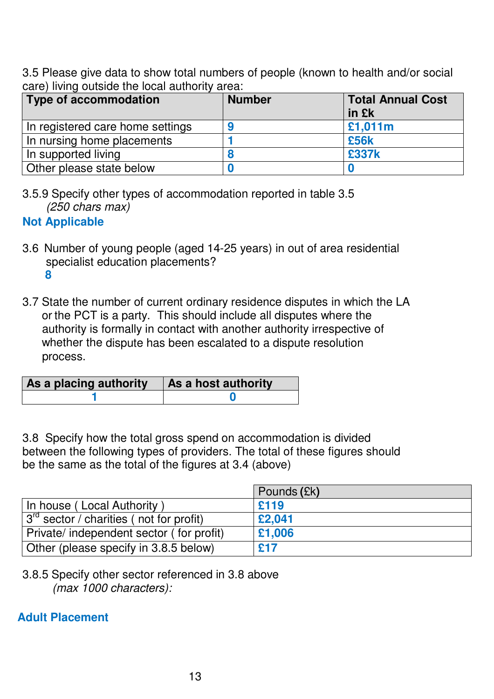3.5 Please give data to show total numbers of people (known to health and/or social care) living outside the local authority area:

| Type of accommodation            | <b>Number</b> | <b>Total Annual Cost</b><br>in £k |
|----------------------------------|---------------|-----------------------------------|
| In registered care home settings |               | £1,011m                           |
| In nursing home placements       |               | £56k                              |
| In supported living              |               | £337k                             |
| Other please state below         |               |                                   |

3.5.9 Specify other types of accommodation reported in table 3.5 (250 chars max)

## **Not Applicable**

- 3.6 Number of young people (aged 14-25 years) in out of area residential specialist education placements?  **8**
- 3.7 State the number of current ordinary residence disputes in which the LA or the PCT is a party. This should include all disputes where the authority is formally in contact with another authority irrespective of whether the dispute has been escalated to a dispute resolution process.

| As a placing authority | As a host authority |  |
|------------------------|---------------------|--|
|                        |                     |  |

3.8 Specify how the total gross spend on accommodation is divided between the following types of providers. The total of these figures should be the same as the total of the figures at 3.4 (above)

|                                                                 | Pounds (£k) |
|-----------------------------------------------------------------|-------------|
| In house (Local Authority)                                      | £119        |
| $\frac{1}{3}$ <sup>rd</sup> sector / charities (not for profit) | £2,041      |
| Private/ independent sector (for profit)                        | £1,006      |
| Other (please specify in 3.8.5 below)                           | £17         |

<sup>3.8.5</sup> Specify other sector referenced in 3.8 above (max 1000 characters):

## **Adult Placement**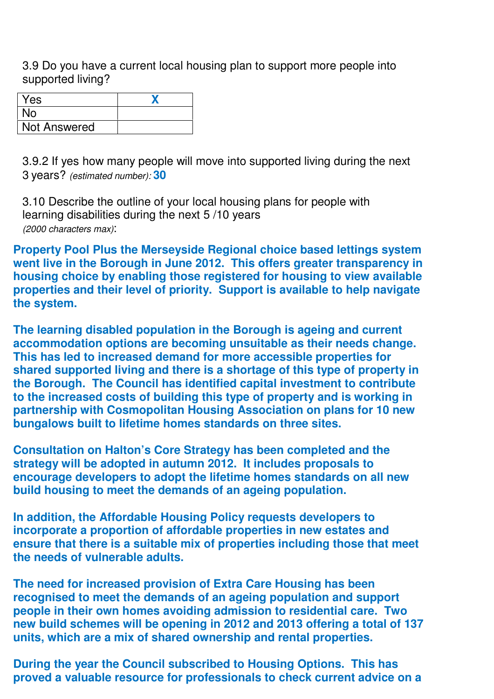3.9 Do you have a current local housing plan to support more people into supported living?

| Yes                 |  |
|---------------------|--|
| No                  |  |
| <b>Not Answered</b> |  |

3.9.2 If yes how many people will move into supported living during the next 3 years? (estimated number): **30**

3.10 Describe the outline of your local housing plans for people with learning disabilities during the next 5 /10 years (2000 characters max):

**Property Pool Plus the Merseyside Regional choice based lettings system went live in the Borough in June 2012. This offers greater transparency in housing choice by enabling those registered for housing to view available properties and their level of priority. Support is available to help navigate the system.** 

**The learning disabled population in the Borough is ageing and current accommodation options are becoming unsuitable as their needs change. This has led to increased demand for more accessible properties for shared supported living and there is a shortage of this type of property in the Borough. The Council has identified capital investment to contribute to the increased costs of building this type of property and is working in partnership with Cosmopolitan Housing Association on plans for 10 new bungalows built to lifetime homes standards on three sites.** 

**Consultation on Halton's Core Strategy has been completed and the strategy will be adopted in autumn 2012. It includes proposals to encourage developers to adopt the lifetime homes standards on all new build housing to meet the demands of an ageing population.** 

**In addition, the Affordable Housing Policy requests developers to incorporate a proportion of affordable properties in new estates and ensure that there is a suitable mix of properties including those that meet the needs of vulnerable adults.** 

**The need for increased provision of Extra Care Housing has been recognised to meet the demands of an ageing population and support people in their own homes avoiding admission to residential care. Two new build schemes will be opening in 2012 and 2013 offering a total of 137 units, which are a mix of shared ownership and rental properties.** 

**During the year the Council subscribed to Housing Options. This has proved a valuable resource for professionals to check current advice on a**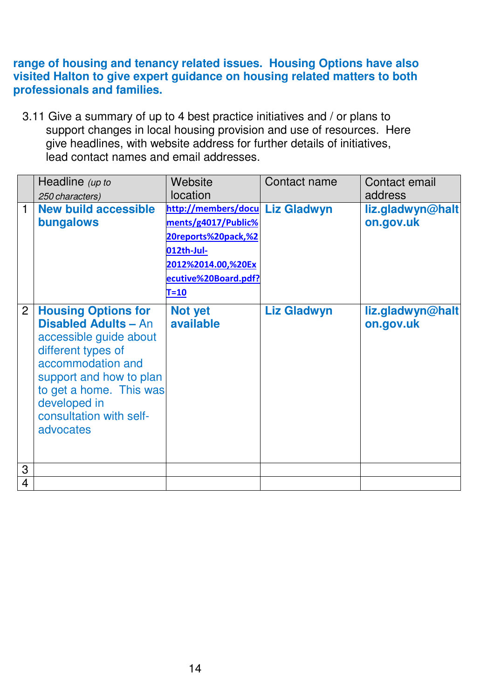#### **range of housing and tenancy related issues. Housing Options have also visited Halton to give expert guidance on housing related matters to both professionals and families.**

3.11 Give a summary of up to 4 best practice initiatives and / or plans to support changes in local housing provision and use of resources. Here give headlines, with website address for further details of initiatives, lead contact names and email addresses.

|                | Headline (up to                                                                                                                                                                                                                              | Website                         | Contact name       | Contact email                 |
|----------------|----------------------------------------------------------------------------------------------------------------------------------------------------------------------------------------------------------------------------------------------|---------------------------------|--------------------|-------------------------------|
|                | 250 characters)                                                                                                                                                                                                                              | location                        |                    | address                       |
| 1              | <b>New build accessible</b>                                                                                                                                                                                                                  | http://members/docu Liz Gladwyn |                    | liz.gladwyn@halt              |
|                | bungalows                                                                                                                                                                                                                                    | ments/g4017/Public%             |                    | on.gov.uk                     |
|                |                                                                                                                                                                                                                                              | 20reports%20pack,%2             |                    |                               |
|                |                                                                                                                                                                                                                                              | 012th-Jul-                      |                    |                               |
|                |                                                                                                                                                                                                                                              | 2012%2014.00,%20Ex              |                    |                               |
|                |                                                                                                                                                                                                                                              | ecutive%20Board.pdf?            |                    |                               |
|                |                                                                                                                                                                                                                                              | $T=10$                          |                    |                               |
| $\overline{2}$ | <b>Housing Options for</b><br><b>Disabled Adults - An</b><br>accessible guide about<br>different types of<br>accommodation and<br>support and how to plan<br>to get a home. This was<br>developed in<br>consultation with self-<br>advocates | <b>Not yet</b><br>available     | <b>Liz Gladwyn</b> | liz.gladwyn@halt<br>on.gov.uk |
| 3              |                                                                                                                                                                                                                                              |                                 |                    |                               |
| $\overline{4}$ |                                                                                                                                                                                                                                              |                                 |                    |                               |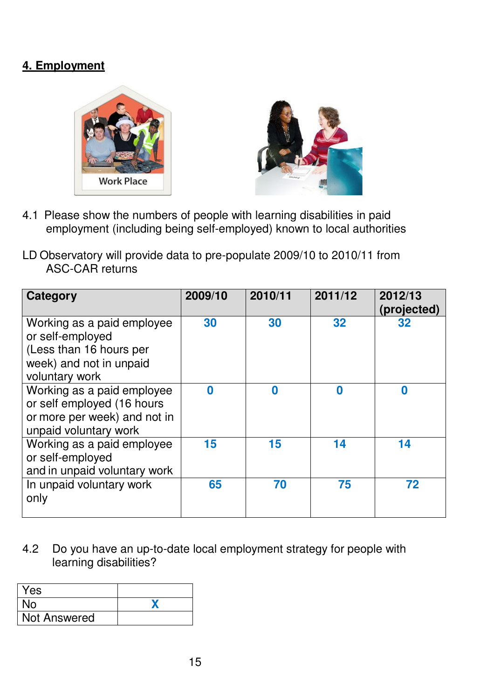# **4. Employment**

![](_page_19_Picture_1.jpeg)

![](_page_19_Picture_2.jpeg)

- 4.1 Please show the numbers of people with learning disabilities in paid employment (including being self-employed) known to local authorities
- LD Observatory will provide data to pre-populate 2009/10 to 2010/11 from ASC-CAR returns

| <b>Category</b>                                                                                                        | 2009/10 | 2010/11          | 2011/12          | 2012/13<br>(projected) |
|------------------------------------------------------------------------------------------------------------------------|---------|------------------|------------------|------------------------|
| Working as a paid employee<br>or self-employed<br>(Less than 16 hours per<br>week) and not in unpaid<br>voluntary work | 30      | 30               | 32               | 32                     |
| Working as a paid employee<br>or self employed (16 hours<br>or more per week) and not in<br>unpaid voluntary work      | 0       | $\boldsymbol{0}$ | $\boldsymbol{0}$ | 0                      |
| Working as a paid employee<br>or self-employed<br>and in unpaid voluntary work                                         | 15      | 15               | 14               | 14                     |
| In unpaid voluntary work<br>only                                                                                       | 65      | 70               | 75               | 72                     |

4.2 Do you have an up-to-date local employment strategy for people with learning disabilities?

| Yes          |  |
|--------------|--|
| <b>No</b>    |  |
| Not Answered |  |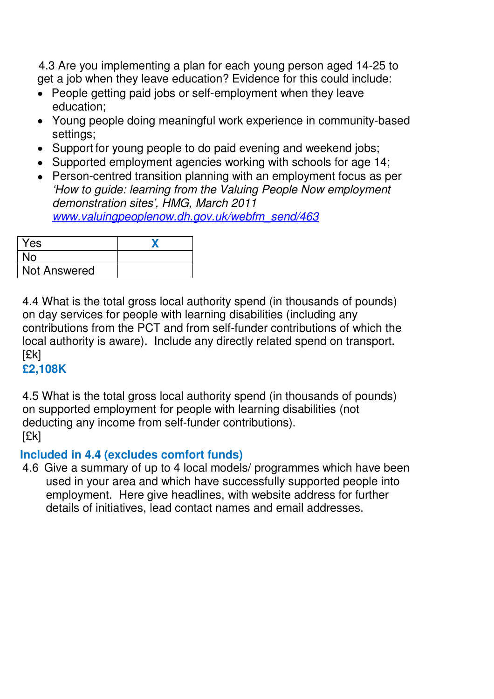4.3 Are you implementing a plan for each young person aged 14-25 to get a job when they leave education? Evidence for this could include:

- People getting paid jobs or self-employment when they leave education;
- Young people doing meaningful work experience in community-based settings;
- Support for young people to do paid evening and weekend jobs;
- Supported employment agencies working with schools for age 14;
- Person-centred transition planning with an employment focus as per 'How to guide: learning from the Valuing People Now employment demonstration sites', HMG, March 2011 www.valuingpeoplenow.dh.gov.uk/webfm\_send/463

| Yes          |  |
|--------------|--|
| No           |  |
| Not Answered |  |

4.4 What is the total gross local authority spend (in thousands of pounds) on day services for people with learning disabilities (including any contributions from the PCT and from self-funder contributions of which the local authority is aware). Include any directly related spend on transport. [£k]

## **£2,108K**

4.5 What is the total gross local authority spend (in thousands of pounds) on supported employment for people with learning disabilities (not deducting any income from self-funder contributions). [£k]

## **Included in 4.4 (excludes comfort funds)**

4.6 Give a summary of up to 4 local models/ programmes which have been used in your area and which have successfully supported people into employment. Here give headlines, with website address for further details of initiatives, lead contact names and email addresses.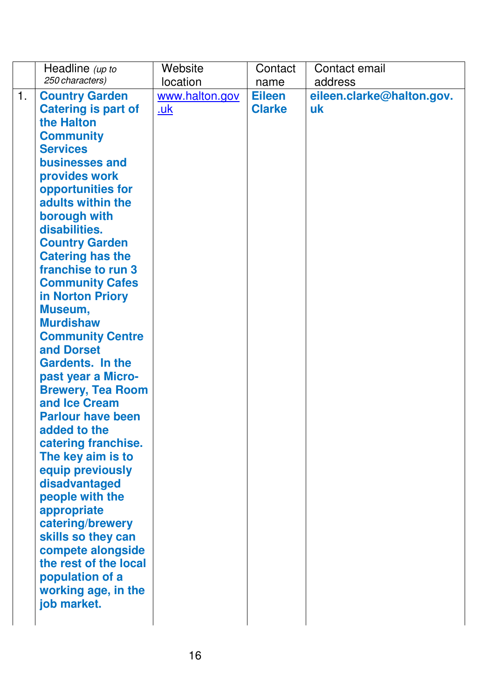|    | Headline (up to                           | Website        | Contact       | Contact email             |
|----|-------------------------------------------|----------------|---------------|---------------------------|
|    | 250 characters)                           | location       | name          | address                   |
| 1. | <b>Country Garden</b>                     | www.halton.gov | <b>Eileen</b> | eileen.clarke@halton.gov. |
|    | <b>Catering is part of</b>                | <u>.uk</u>     | <b>Clarke</b> | uk                        |
|    | the Halton                                |                |               |                           |
|    | <b>Community</b>                          |                |               |                           |
|    | <b>Services</b>                           |                |               |                           |
|    | businesses and                            |                |               |                           |
|    | provides work                             |                |               |                           |
|    | opportunities for                         |                |               |                           |
|    | adults within the                         |                |               |                           |
|    | borough with                              |                |               |                           |
|    | disabilities.                             |                |               |                           |
|    | <b>Country Garden</b>                     |                |               |                           |
|    | <b>Catering has the</b>                   |                |               |                           |
|    | franchise to run 3                        |                |               |                           |
|    | <b>Community Cafes</b>                    |                |               |                           |
|    | in Norton Priory                          |                |               |                           |
|    | Museum,                                   |                |               |                           |
|    | <b>Murdishaw</b>                          |                |               |                           |
|    | <b>Community Centre</b>                   |                |               |                           |
|    | and Dorset                                |                |               |                           |
|    | <b>Gardents. In the</b>                   |                |               |                           |
|    | past year a Micro-                        |                |               |                           |
|    | <b>Brewery, Tea Room</b><br>and Ice Cream |                |               |                           |
|    | <b>Parlour have been</b>                  |                |               |                           |
|    | added to the                              |                |               |                           |
|    | catering franchise.                       |                |               |                           |
|    | The key aim is to                         |                |               |                           |
|    | equip previously                          |                |               |                           |
|    | disadvantaged                             |                |               |                           |
|    | people with the                           |                |               |                           |
|    | appropriate                               |                |               |                           |
|    | catering/brewery                          |                |               |                           |
|    | skills so they can                        |                |               |                           |
|    | compete alongside                         |                |               |                           |
|    | the rest of the local                     |                |               |                           |
|    | population of a                           |                |               |                           |
|    | working age, in the                       |                |               |                           |
|    | job market.                               |                |               |                           |
|    |                                           |                |               |                           |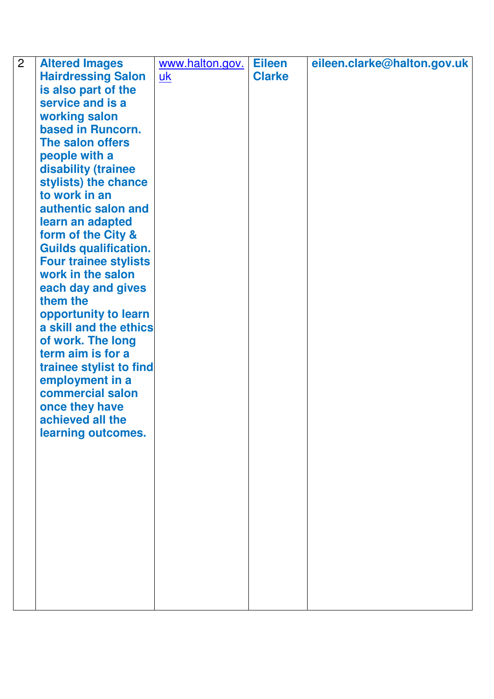| $\overline{2}$ | <b>Altered Images</b>        | www.halton.gov. | <b>Eileen</b> | eileen.clarke@halton.gov.uk |
|----------------|------------------------------|-----------------|---------------|-----------------------------|
|                | <b>Hairdressing Salon</b>    | <u>uk</u>       | <b>Clarke</b> |                             |
|                | is also part of the          |                 |               |                             |
|                | service and is a             |                 |               |                             |
|                | working salon                |                 |               |                             |
|                | based in Runcorn.            |                 |               |                             |
|                | The salon offers             |                 |               |                             |
|                | people with a                |                 |               |                             |
|                | disability (trainee          |                 |               |                             |
|                | stylists) the chance         |                 |               |                             |
|                | to work in an                |                 |               |                             |
|                | authentic salon and          |                 |               |                             |
|                | learn an adapted             |                 |               |                             |
|                | form of the City &           |                 |               |                             |
|                | <b>Guilds qualification.</b> |                 |               |                             |
|                | <b>Four trainee stylists</b> |                 |               |                             |
|                | work in the salon            |                 |               |                             |
|                | each day and gives           |                 |               |                             |
|                | them the                     |                 |               |                             |
|                | opportunity to learn         |                 |               |                             |
|                | a skill and the ethics       |                 |               |                             |
|                | of work. The long            |                 |               |                             |
|                | term aim is for a            |                 |               |                             |
|                | trainee stylist to find      |                 |               |                             |
|                | employment in a              |                 |               |                             |
|                | commercial salon             |                 |               |                             |
|                | once they have               |                 |               |                             |
|                |                              |                 |               |                             |
|                | learning outcomes.           |                 |               |                             |
|                |                              |                 |               |                             |
|                |                              |                 |               |                             |
|                |                              |                 |               |                             |
|                |                              |                 |               |                             |
|                |                              |                 |               |                             |
|                |                              |                 |               |                             |
|                |                              |                 |               |                             |
|                |                              |                 |               |                             |
|                |                              |                 |               |                             |
|                |                              |                 |               |                             |
|                |                              |                 |               |                             |
|                |                              |                 |               |                             |
|                | achieved all the             |                 |               |                             |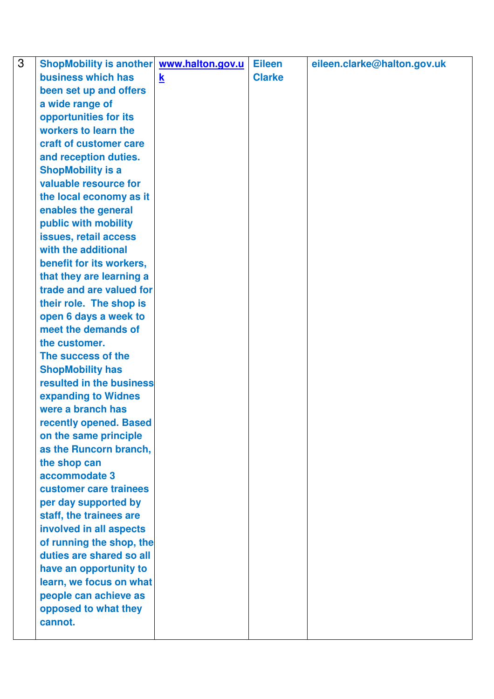| 3 | <b>ShopMobility is another</b> | www.halton.gov.u        | <b>Eileen</b> | eileen.clarke@halton.gov.uk |
|---|--------------------------------|-------------------------|---------------|-----------------------------|
|   | business which has             | $\overline{\mathbf{k}}$ | <b>Clarke</b> |                             |
|   | been set up and offers         |                         |               |                             |
|   | a wide range of                |                         |               |                             |
|   | opportunities for its          |                         |               |                             |
|   | workers to learn the           |                         |               |                             |
|   | craft of customer care         |                         |               |                             |
|   | and reception duties.          |                         |               |                             |
|   | <b>ShopMobility is a</b>       |                         |               |                             |
|   | valuable resource for          |                         |               |                             |
|   | the local economy as it        |                         |               |                             |
|   | enables the general            |                         |               |                             |
|   | public with mobility           |                         |               |                             |
|   | issues, retail access          |                         |               |                             |
|   | with the additional            |                         |               |                             |
|   | benefit for its workers,       |                         |               |                             |
|   | that they are learning a       |                         |               |                             |
|   | trade and are valued for       |                         |               |                             |
|   | their role. The shop is        |                         |               |                             |
|   | open 6 days a week to          |                         |               |                             |
|   | meet the demands of            |                         |               |                             |
|   | the customer.                  |                         |               |                             |
|   | The success of the             |                         |               |                             |
|   | <b>ShopMobility has</b>        |                         |               |                             |
|   | resulted in the business       |                         |               |                             |
|   | expanding to Widnes            |                         |               |                             |
|   | were a branch has              |                         |               |                             |
|   | recently opened. Based         |                         |               |                             |
|   | on the same principle          |                         |               |                             |
|   | as the Runcorn branch,         |                         |               |                             |
|   | the shop can                   |                         |               |                             |
|   | accommodate 3                  |                         |               |                             |
|   | customer care trainees         |                         |               |                             |
|   | per day supported by           |                         |               |                             |
|   | staff, the trainees are        |                         |               |                             |
|   | involved in all aspects        |                         |               |                             |
|   | of running the shop, the       |                         |               |                             |
|   | duties are shared so all       |                         |               |                             |
|   | have an opportunity to         |                         |               |                             |
|   | learn, we focus on what        |                         |               |                             |
|   | people can achieve as          |                         |               |                             |
|   | opposed to what they           |                         |               |                             |
|   | cannot.                        |                         |               |                             |
|   |                                |                         |               |                             |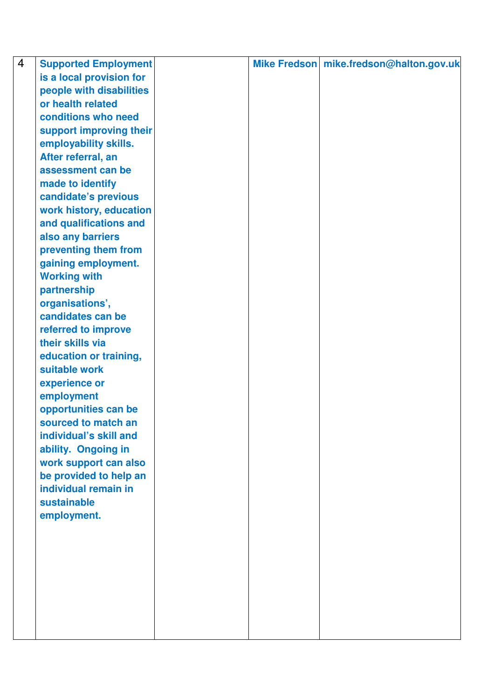| $\overline{4}$ | <b>Supported Employment</b> |  | Mike Fredson mike.fredson@halton.gov.uk |
|----------------|-----------------------------|--|-----------------------------------------|
|                | is a local provision for    |  |                                         |
|                | people with disabilities    |  |                                         |
|                | or health related           |  |                                         |
|                | conditions who need         |  |                                         |
|                | support improving their     |  |                                         |
|                | employability skills.       |  |                                         |
|                | After referral, an          |  |                                         |
|                | assessment can be           |  |                                         |
|                | made to identify            |  |                                         |
|                | candidate's previous        |  |                                         |
|                | work history, education     |  |                                         |
|                | and qualifications and      |  |                                         |
|                | also any barriers           |  |                                         |
|                | preventing them from        |  |                                         |
|                | gaining employment.         |  |                                         |
|                | <b>Working with</b>         |  |                                         |
|                | partnership                 |  |                                         |
|                | organisations',             |  |                                         |
|                | candidates can be           |  |                                         |
|                | referred to improve         |  |                                         |
|                | their skills via            |  |                                         |
|                | education or training,      |  |                                         |
|                | suitable work               |  |                                         |
|                | experience or               |  |                                         |
|                | employment                  |  |                                         |
|                | opportunities can be        |  |                                         |
|                | sourced to match an         |  |                                         |
|                | individual's skill and      |  |                                         |
|                | ability. Ongoing in         |  |                                         |
|                | work support can also       |  |                                         |
|                | be provided to help an      |  |                                         |
|                | individual remain in        |  |                                         |
|                | sustainable                 |  |                                         |
|                | employment.                 |  |                                         |
|                |                             |  |                                         |
|                |                             |  |                                         |
|                |                             |  |                                         |
|                |                             |  |                                         |
|                |                             |  |                                         |
|                |                             |  |                                         |
|                |                             |  |                                         |
|                |                             |  |                                         |
|                |                             |  |                                         |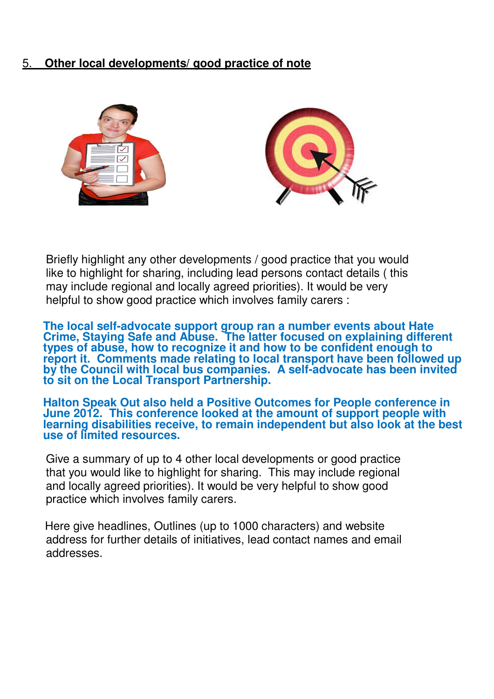## 5. **Other local developments/ good practice of note**

![](_page_25_Picture_1.jpeg)

Briefly highlight any other developments / good practice that you would like to highlight for sharing, including lead persons contact details ( this may include regional and locally agreed priorities). It would be very helpful to show good practice which involves family carers :

**The local self-advocate support group ran a number events about Hate Crime, Staying Safe and Abuse. The latter focused on explaining different types of abuse, how to recognize it and how to be confident enough to report it. Comments made relating to local transport have been followed up by the Council with local bus companies. A self-advocate has been invited to sit on the Local Transport Partnership.** 

**Halton Speak Out also held a Positive Outcomes for People conference in June 2012. This conference looked at the amount of support people with learning disabilities receive, to remain independent but also look at the best use of limited resources.** 

Give a summary of up to 4 other local developments or good practice that you would like to highlight for sharing. This may include regional and locally agreed priorities). It would be very helpful to show good practice which involves family carers.

 Here give headlines, Outlines (up to 1000 characters) and website address for further details of initiatives, lead contact names and email addresses.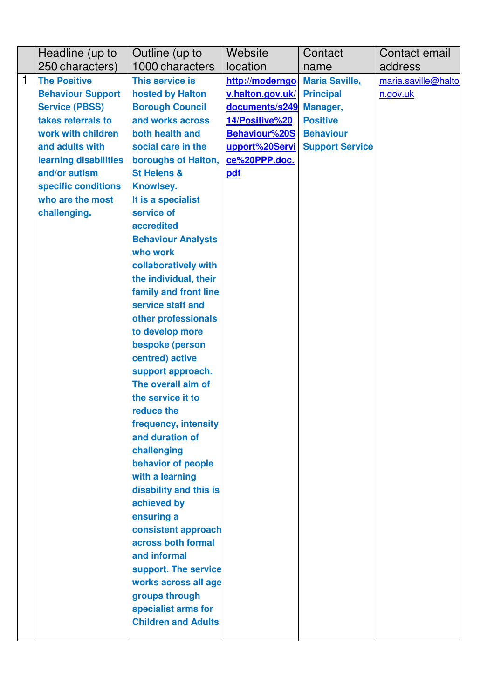|   | Headline (up to          | Outline (up to                             | Website          | Contact                | Contact email       |
|---|--------------------------|--------------------------------------------|------------------|------------------------|---------------------|
|   | 250 characters)          | 1000 characters                            | location         | name                   | address             |
| 1 | <b>The Positive</b>      | This service is                            | http://moderngo  | <b>Maria Saville,</b>  | maria.saville@halto |
|   | <b>Behaviour Support</b> | hosted by Halton                           | v.halton.gov.uk/ | <b>Principal</b>       | n.gov.uk            |
|   | <b>Service (PBSS)</b>    | <b>Borough Council</b>                     | documents/s249   | Manager,               |                     |
|   | takes referrals to       | and works across                           | 14/Positive%20   | <b>Positive</b>        |                     |
|   | work with children       | both health and                            | Behaviour%20S    | <b>Behaviour</b>       |                     |
|   | and adults with          | social care in the                         | upport%20Servi   | <b>Support Service</b> |                     |
|   | learning disabilities    | boroughs of Halton,                        | ce%20PPP.doc.    |                        |                     |
|   | and/or autism            | <b>St Helens &amp;</b>                     | pdf              |                        |                     |
|   | specific conditions      | Knowlsey.                                  |                  |                        |                     |
|   | who are the most         | It is a specialist                         |                  |                        |                     |
|   | challenging.             | service of                                 |                  |                        |                     |
|   |                          | accredited                                 |                  |                        |                     |
|   |                          | <b>Behaviour Analysts</b>                  |                  |                        |                     |
|   |                          | who work                                   |                  |                        |                     |
|   |                          | collaboratively with                       |                  |                        |                     |
|   |                          | the individual, their                      |                  |                        |                     |
|   |                          | family and front line<br>service staff and |                  |                        |                     |
|   |                          | other professionals                        |                  |                        |                     |
|   |                          | to develop more                            |                  |                        |                     |
|   |                          | bespoke (person                            |                  |                        |                     |
|   |                          | centred) active                            |                  |                        |                     |
|   |                          | support approach.                          |                  |                        |                     |
|   |                          | The overall aim of                         |                  |                        |                     |
|   |                          | the service it to                          |                  |                        |                     |
|   |                          | reduce the                                 |                  |                        |                     |
|   |                          | frequency, intensity                       |                  |                        |                     |
|   |                          | and duration of                            |                  |                        |                     |
|   |                          | challenging                                |                  |                        |                     |
|   |                          | behavior of people                         |                  |                        |                     |
|   |                          | with a learning                            |                  |                        |                     |
|   |                          | disability and this is                     |                  |                        |                     |
|   |                          | achieved by                                |                  |                        |                     |
|   |                          | ensuring a                                 |                  |                        |                     |
|   |                          | consistent approach                        |                  |                        |                     |
|   |                          | across both formal                         |                  |                        |                     |
|   |                          | and informal                               |                  |                        |                     |
|   |                          | support. The service                       |                  |                        |                     |
|   |                          | works across all age                       |                  |                        |                     |
|   |                          | groups through                             |                  |                        |                     |
|   |                          | specialist arms for                        |                  |                        |                     |
|   |                          | <b>Children and Adults</b>                 |                  |                        |                     |
|   |                          |                                            |                  |                        |                     |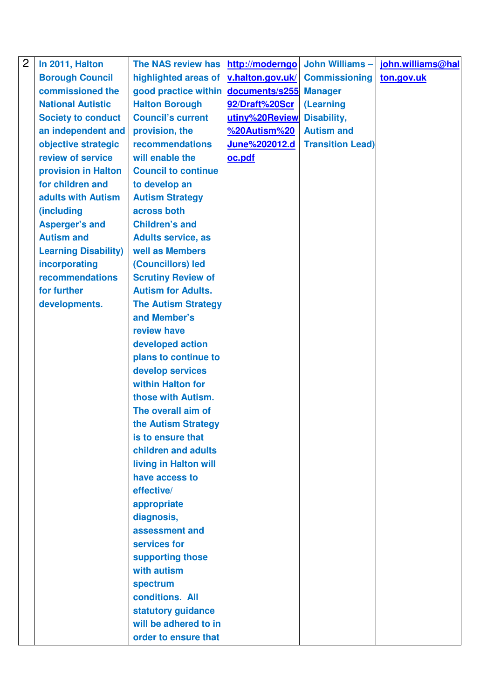| $\overline{2}$ | In 2011, Halton             | The NAS review has         | http://moderngo  | <b>John Williams -</b>  | john.williams@hal |
|----------------|-----------------------------|----------------------------|------------------|-------------------------|-------------------|
|                | <b>Borough Council</b>      | highlighted areas of       | v.halton.gov.uk/ | <b>Commissioning</b>    | ton.gov.uk        |
|                | commissioned the            | good practice within       | documents/s255   | <b>Manager</b>          |                   |
|                | <b>National Autistic</b>    | <b>Halton Borough</b>      | 92/Draft%20Scr   | <b>(Learning</b>        |                   |
|                | <b>Society to conduct</b>   | <b>Council's current</b>   | utiny%20Review   | Disability,             |                   |
|                | an independent and          | provision, the             | %20Autism%20     | <b>Autism and</b>       |                   |
|                | objective strategic         | recommendations            | June%202012.d    | <b>Transition Lead)</b> |                   |
|                | review of service           | will enable the            | oc.pdf           |                         |                   |
|                | provision in Halton         | <b>Council to continue</b> |                  |                         |                   |
|                | for children and            | to develop an              |                  |                         |                   |
|                | adults with Autism          | <b>Autism Strategy</b>     |                  |                         |                   |
|                | (including                  | across both                |                  |                         |                   |
|                | <b>Asperger's and</b>       | <b>Children's and</b>      |                  |                         |                   |
|                | <b>Autism and</b>           | <b>Adults service, as</b>  |                  |                         |                   |
|                | <b>Learning Disability)</b> | well as Members            |                  |                         |                   |
|                | incorporating               | (Councillors) led          |                  |                         |                   |
|                | recommendations             | <b>Scrutiny Review of</b>  |                  |                         |                   |
|                | for further                 | <b>Autism for Adults.</b>  |                  |                         |                   |
|                | developments.               | <b>The Autism Strategy</b> |                  |                         |                   |
|                |                             | and Member's               |                  |                         |                   |
|                |                             | review have                |                  |                         |                   |
|                |                             | developed action           |                  |                         |                   |
|                |                             | plans to continue to       |                  |                         |                   |
|                |                             | develop services           |                  |                         |                   |
|                |                             | within Halton for          |                  |                         |                   |
|                |                             | those with Autism.         |                  |                         |                   |
|                |                             | The overall aim of         |                  |                         |                   |
|                |                             | the Autism Strategy        |                  |                         |                   |
|                |                             | is to ensure that          |                  |                         |                   |
|                |                             | children and adults        |                  |                         |                   |
|                |                             | living in Halton will      |                  |                         |                   |
|                |                             | have access to             |                  |                         |                   |
|                |                             | effective/                 |                  |                         |                   |
|                |                             | appropriate                |                  |                         |                   |
|                |                             | diagnosis,                 |                  |                         |                   |
|                |                             | assessment and             |                  |                         |                   |
|                |                             | services for               |                  |                         |                   |
|                |                             | supporting those           |                  |                         |                   |
|                |                             | with autism                |                  |                         |                   |
|                |                             | spectrum                   |                  |                         |                   |
|                |                             | conditions. All            |                  |                         |                   |
|                |                             | statutory guidance         |                  |                         |                   |
|                |                             | will be adhered to in      |                  |                         |                   |
|                |                             | order to ensure that       |                  |                         |                   |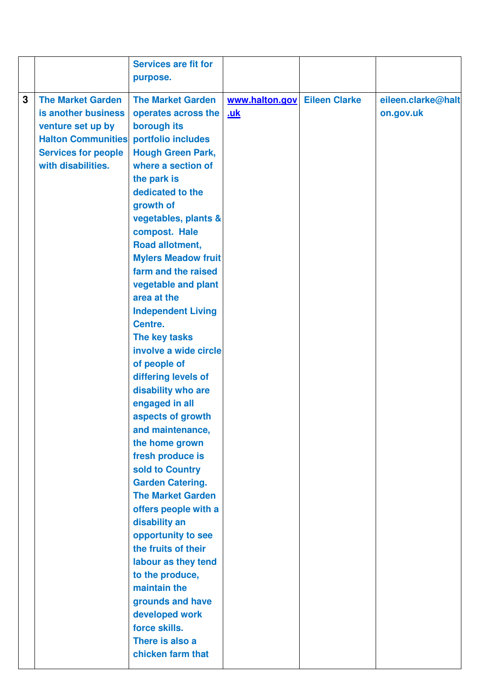| 3<br><b>The Market Garden</b><br><b>The Market Garden</b><br>www.halton.gov Eileen Clarke<br>eileen.clarke@halt<br>is another business<br>on.gov.uk<br>operates across the<br><u>.uk</u><br>borough its<br>venture set up by<br><b>Halton Communities</b><br>portfolio includes<br><b>Services for people</b><br><b>Hough Green Park,</b><br>with disabilities.<br>where a section of<br>the park is<br>dedicated to the<br>growth of<br>vegetables, plants &<br>compost. Hale<br>Road allotment,<br><b>Mylers Meadow fruit</b><br>farm and the raised<br>vegetable and plant<br>area at the<br><b>Independent Living</b><br>Centre.<br>The key tasks<br>involve a wide circle<br>of people of<br>differing levels of<br>disability who are<br>engaged in all<br>aspects of growth<br>and maintenance,<br>the home grown<br>fresh produce is<br>sold to Country<br><b>Garden Catering.</b><br><b>The Market Garden</b><br>offers people with a<br>disability an<br>opportunity to see<br>the fruits of their<br>labour as they tend |
|-------------------------------------------------------------------------------------------------------------------------------------------------------------------------------------------------------------------------------------------------------------------------------------------------------------------------------------------------------------------------------------------------------------------------------------------------------------------------------------------------------------------------------------------------------------------------------------------------------------------------------------------------------------------------------------------------------------------------------------------------------------------------------------------------------------------------------------------------------------------------------------------------------------------------------------------------------------------------------------------------------------------------------------|
| to the produce,<br>maintain the<br>grounds and have<br>developed work<br>force skills.                                                                                                                                                                                                                                                                                                                                                                                                                                                                                                                                                                                                                                                                                                                                                                                                                                                                                                                                              |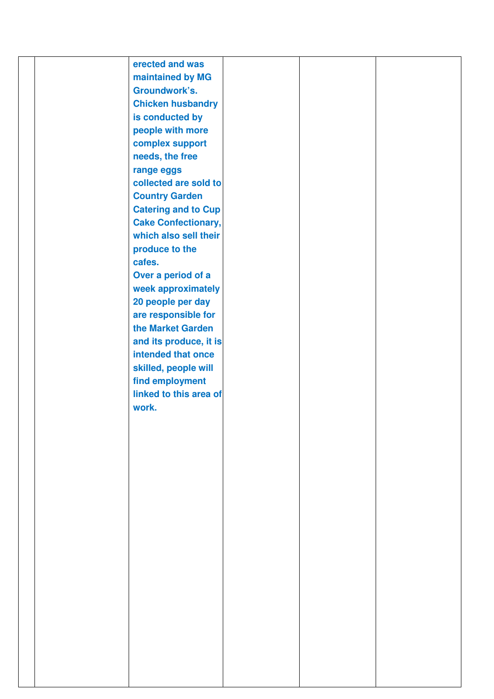|  | erected and was            |  |  |
|--|----------------------------|--|--|
|  | maintained by MG           |  |  |
|  | Groundwork's.              |  |  |
|  | <b>Chicken husbandry</b>   |  |  |
|  |                            |  |  |
|  | is conducted by            |  |  |
|  | people with more           |  |  |
|  | complex support            |  |  |
|  | needs, the free            |  |  |
|  | range eggs                 |  |  |
|  | collected are sold to      |  |  |
|  | <b>Country Garden</b>      |  |  |
|  | <b>Catering and to Cup</b> |  |  |
|  |                            |  |  |
|  | <b>Cake Confectionary,</b> |  |  |
|  | which also sell their      |  |  |
|  | produce to the             |  |  |
|  | cafes.                     |  |  |
|  | Over a period of a         |  |  |
|  | week approximately         |  |  |
|  | 20 people per day          |  |  |
|  |                            |  |  |
|  | are responsible for        |  |  |
|  | the Market Garden          |  |  |
|  | and its produce, it is     |  |  |
|  | intended that once         |  |  |
|  | skilled, people will       |  |  |
|  | find employment            |  |  |
|  | linked to this area of     |  |  |
|  | work.                      |  |  |
|  |                            |  |  |
|  |                            |  |  |
|  |                            |  |  |
|  |                            |  |  |
|  |                            |  |  |
|  |                            |  |  |
|  |                            |  |  |
|  |                            |  |  |
|  |                            |  |  |
|  |                            |  |  |
|  |                            |  |  |
|  |                            |  |  |
|  |                            |  |  |
|  |                            |  |  |
|  |                            |  |  |
|  |                            |  |  |
|  |                            |  |  |
|  |                            |  |  |
|  |                            |  |  |
|  |                            |  |  |
|  |                            |  |  |
|  |                            |  |  |
|  |                            |  |  |
|  |                            |  |  |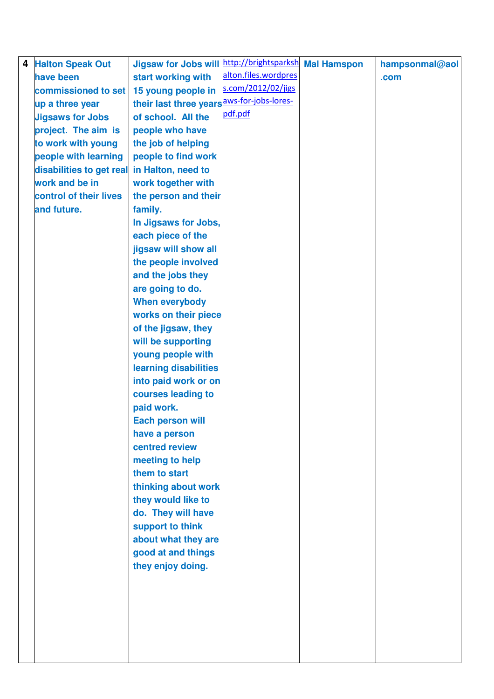| 4 | <b>Halton Speak Out</b>                     | <b>Jigsaw for Jobs will</b>                | http://brightsparksh Mal Hamspon | hampsonmal@aol |
|---|---------------------------------------------|--------------------------------------------|----------------------------------|----------------|
|   | have been                                   | start working with                         | alton.files.wordpres             | .com           |
|   | commissioned to set                         | 15 young people in                         | s.com/2012/02/jigs               |                |
|   | up a three year                             | their last three years aws-for-jobs-lores- |                                  |                |
|   | <b>Jigsaws for Jobs</b>                     | of school. All the                         | pdf.pdf                          |                |
|   | project. The aim is                         | people who have                            |                                  |                |
|   | to work with young                          | the job of helping                         |                                  |                |
|   | people with learning                        | people to find work                        |                                  |                |
|   | disabilities to get real in Halton, need to |                                            |                                  |                |
|   | work and be in                              | work together with                         |                                  |                |
|   | control of their lives                      | the person and their                       |                                  |                |
|   | and future.                                 | family.                                    |                                  |                |
|   |                                             | In Jigsaws for Jobs,                       |                                  |                |
|   |                                             | each piece of the                          |                                  |                |
|   |                                             | jigsaw will show all                       |                                  |                |
|   |                                             | the people involved                        |                                  |                |
|   |                                             | and the jobs they                          |                                  |                |
|   |                                             | are going to do.                           |                                  |                |
|   |                                             | <b>When everybody</b>                      |                                  |                |
|   |                                             | works on their piece                       |                                  |                |
|   |                                             | of the jigsaw, they                        |                                  |                |
|   |                                             | will be supporting                         |                                  |                |
|   |                                             | young people with                          |                                  |                |
|   |                                             | learning disabilities                      |                                  |                |
|   |                                             | into paid work or on                       |                                  |                |
|   |                                             | courses leading to                         |                                  |                |
|   |                                             | paid work.                                 |                                  |                |
|   |                                             | <b>Each person will</b>                    |                                  |                |
|   |                                             | have a person                              |                                  |                |
|   |                                             | centred review                             |                                  |                |
|   |                                             | meeting to help                            |                                  |                |
|   |                                             | them to start                              |                                  |                |
|   |                                             | thinking about work                        |                                  |                |
|   |                                             | they would like to                         |                                  |                |
|   |                                             | do. They will have                         |                                  |                |
|   |                                             | support to think                           |                                  |                |
|   |                                             | about what they are                        |                                  |                |
|   |                                             | good at and things                         |                                  |                |
|   |                                             | they enjoy doing.                          |                                  |                |
|   |                                             |                                            |                                  |                |
|   |                                             |                                            |                                  |                |
|   |                                             |                                            |                                  |                |
|   |                                             |                                            |                                  |                |
|   |                                             |                                            |                                  |                |
|   |                                             |                                            |                                  |                |
|   |                                             |                                            |                                  |                |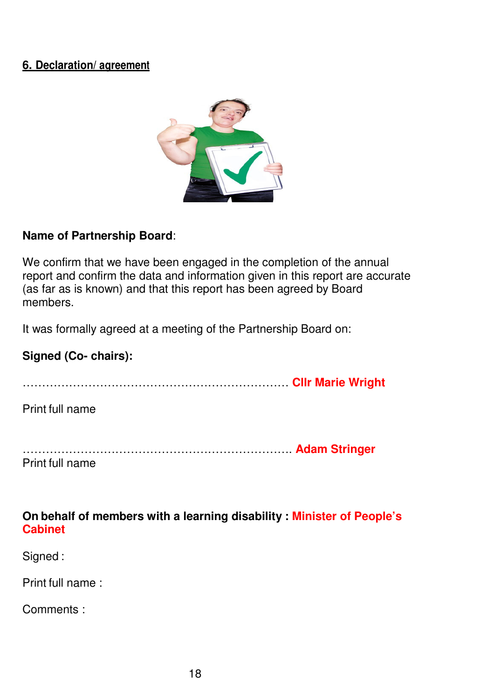## **6. Declaration/ agreement**

![](_page_31_Picture_1.jpeg)

#### **Name of Partnership Board**:

We confirm that we have been engaged in the completion of the annual report and confirm the data and information given in this report are accurate (as far as is known) and that this report has been agreed by Board members.

It was formally agreed at a meeting of the Partnership Board on:

#### **Signed (Co- chairs):**

…………………………………………………………… **Cllr Marie Wright** 

Print full name

| Print full name |  |
|-----------------|--|

#### **On behalf of members with a learning disability : Minister of People's Cabinet**

Signed :

Print full name :

Comments :